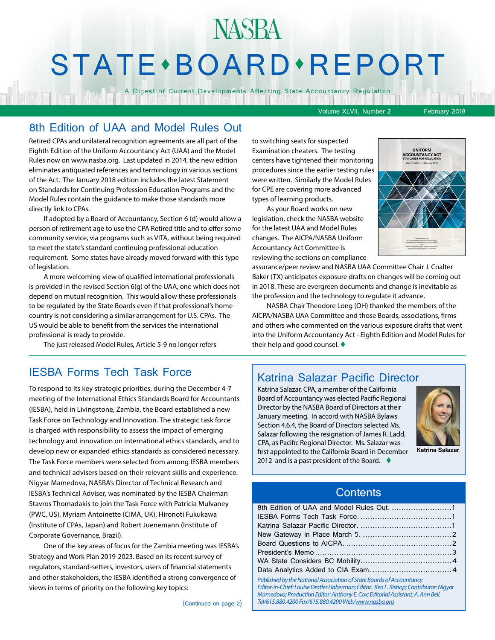## NASBA STATE · BOARD · REPORT

A Digest of Current Developments Affecting State Accountancy Regulation

Volume XLVII, Number 2 February 2018

#### 8th Edition of UAA and Model Rules Out

Retired CPAs and unilateral recognition agreements are all part of the Eighth Edition of the Uniform Accountancy Act (UAA) and the Model Rules now on www.nasba.org. Last updated in 2014, the new edition eliminates antiquated references and terminology in various sections of the Act. The January 2018 edition includes the latest Statement on Standards for Continuing Profession Education Programs and the Model Rules contain the guidance to make those standards more directly link to CPAs.

If adopted by a Board of Accountancy, Section 6 (d) would allow a person of retirement age to use the CPA Retired title and to offer some community service, via programs such as VITA, without being required to meet the state's standard continuing professional education requirement. Some states have already moved forward with this type of legislation.

A more welcoming view of qualified international professionals is provided in the revised Section 6(g) of the UAA, one which does not depend on mutual recognition. This would allow these professionals to be regulated by the State Boards even if that professional's home country is not considering a similar arrangement for U.S. CPAs. The US would be able to benefit from the services the international professional is ready to provide.

The just released Model Rules, Article 5-9 no longer refers

### IESBA Forms Tech Task Force

To respond to its key strategic priorities, during the December 4-7 meeting of the International Ethics Standards Board for Accountants (IESBA), held in Livingstone, Zambia, the Board established a new Task Force on Technology and Innovation. The strategic task force is charged with responsibility to assess the impact of emerging technology and innovation on international ethics standards, and to develop new or expanded ethics standards as considered necessary. The Task Force members were selected from among IESBA members and technical advisers based on their relevant skills and experience. Nigyar Mamedova, NASBA's Director of Technical Research and IESBA's Technical Adviser, was nominated by the IESBA Chairman Stavros Thomadakis to join the Task Force with Patricia Mulvaney (PWC, US), Myriam Antoinette (CIMA, UK), Hironoti Fukukawa (Institute of CPAs, Japan) and Robert Juenemann (Institute of Corporate Governance, Brazil).

One of the key areas of focus for the Zambia meeting was IESBA's Strategy and Work Plan 2019-2023. Based on its recent survey of regulators, standard-setters, investors, users of financial statements and other stakeholders, the IESBA identified a strong convergence of views in terms of priority on the following key topics:

(Continued on page 2)

to switching seats for suspected Examination cheaters. The testing centers have tightened their monitoring procedures since the earlier testing rules were written. Similarly the Model Rules for CPE are covering more advanced types of learning products.

As your Board works on new legislation, check the NASBA website for the latest UAA and Model Rules changes. The AICPA/NASBA Uniform Accountancy Act Committee is reviewing the sections on compliance



assurance/peer review and NASBA UAA Committee Chair J. Coalter Baker (TX) anticipates exposure drafts on changes will be coming out in 2018. These are evergreen documents and change is inevitable as the profession and the technology to regulate it advance.

NASBA Chair Theodore Long (OH) thanked the members of the AICPA/NASBA UAA Committee and those Boards, associations, firms and others who commented on the various exposure drafts that went into the Uniform Accountancy Act - Eighth Edition and Model Rules for their help and good counsel.  $\blacklozenge$ 

#### Katrina Salazar Pacific Director

Katrina Salazar, CPA, a member of the California Board of Accountancy was elected Pacific Regional Director by the NASBA Board of Directors at their January meeting. In accord with NASBA Bylaws Section 4.6.4, the Board of Directors selected Ms. Salazar following the resignation of James R. Ladd, CPA, as Pacific Regional Director. Ms. Salazar was first appointed to the California Board in December 2012 and is a past president of the Board.  $\blacklozenge$ 



**Katrina Salazar**

#### **Contents**

| Published by the National Association of State Boards of Accountancy<br>Editor-in-Chief: Louise Dratler Haberman; Editor: Ken L. Bishop; Contributor: Nigyar |  |
|--------------------------------------------------------------------------------------------------------------------------------------------------------------|--|
| Mamedova; Production Editor: Anthony E. Cox; Editorial Assistant: A. Ann Bell.<br>Tel/615.880.4200 Fax/615.880.4290 Web/www.nasba.org                        |  |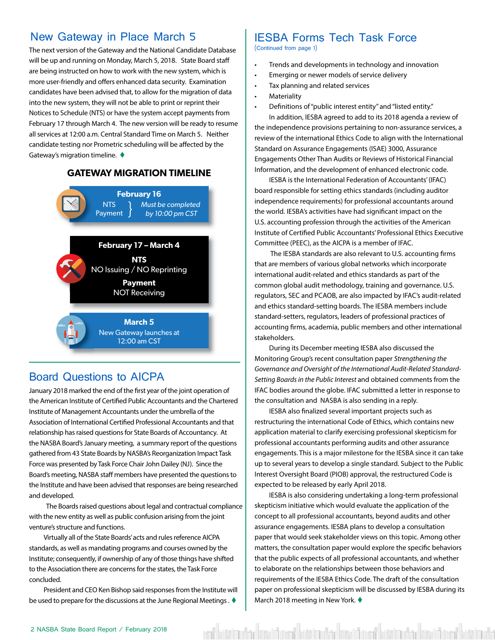#### <span id="page-1-0"></span>New Gateway in Place March 5

The next version of the Gateway and the National Candidate Database will be up and running on Monday, March 5, 2018. State Board staff are being instructed on how to work with the new system, which is more user-friendly and offers enhanced data security. Examination candidates have been advised that, to allow for the migration of data into the new system, they will not be able to print or reprint their Notices to Schedule (NTS) or have the system accept payments from February 17 through March 4. The new version will be ready to resume all services at 12:00 a.m. Central Standard Time on March 5. Neither candidate testing nor Prometric scheduling will be affected by the Gateway's migration timeline.  $\blacklozenge$ 

#### **GATEWAY MIGRATION TIMELINE**



#### Board Questions to AICPA

January 2018 marked the end of the first year of the joint operation of the American Institute of Certified Public Accountants and the Chartered Institute of Management Accountants under the umbrella of the Association of International Certified Professional Accountants and that relationship has raised questions for State Boards of Accountancy. At the NASBA Board's January meeting, a summary report of the questions gathered from 43 State Boards by NASBA's Reorganization Impact Task Force was presented by Task Force Chair John Dailey (NJ). Since the Board's meeting, NASBA staff members have presented the questions to the Institute and have been advised that responses are being researched and developed.

 The Boards raised questions about legal and contractual compliance with the new entity as well as public confusion arising from the joint venture's structure and functions.

Virtually all of the State Boards' acts and rules reference AICPA standards, as well as mandating programs and courses owned by the Institute; consequently, if ownership of any of those things have shifted to the Association there are concerns for the states, the Task Force concluded.

President and CEO Ken Bishop said responses from the Institute will be used to prepare for the discussions at the June Regional Meetings .  $\blacklozenge$ 

### IESBA Forms Tech Task Force

(Continued from page 1)

- Trends and developments in technology and innovation
- Emerging or newer models of service delivery
- Tax planning and related services
- **Materiality**
- Definitions of "public interest entity" and "listed entity."

In addition, IESBA agreed to add to its 2018 agenda a review of the independence provisions pertaining to non-assurance services, a review of the international Ethics Code to align with the International Standard on Assurance Engagements (ISAE) 3000, Assurance Engagements Other Than Audits or Reviews of Historical Financial Information, and the development of enhanced electronic code.

IESBA is the International Federation of Accountants' (IFAC) board responsible for setting ethics standards (including auditor independence requirements) for professional accountants around the world. IESBA's activities have had significant impact on the U.S. accounting profession through the activities of the American Institute of Certified Public Accountants' Professional Ethics Executive Committee (PEEC), as the AICPA is a member of IFAC.

 The IESBA standards are also relevant to U.S. accounting firms that are members of various global networks which incorporate international audit-related and ethics standards as part of the common global audit methodology, training and governance. U.S. regulators, SEC and PCAOB, are also impacted by IFAC's audit-related and ethics standard-setting boards. The IESBA members include standard-setters, regulators, leaders of professional practices of accounting firms, academia, public members and other international stakeholders.

During its December meeting IESBA also discussed the Monitoring Group's recent consultation paper *Strengthening the Governance and Oversight of the International Audit-Related Standard-Setting Boards in the Public Interest* and obtained comments from the IFAC bodies around the globe. IFAC submitted a letter in response to the consultation and NASBA is also sending in a reply.

IESBA also finalized several important projects such as restructuring the international Code of Ethics, which contains new application material to clarify exercising professional skepticism for professional accountants performing audits and other assurance engagements. This is a major milestone for the IESBA since it can take up to several years to develop a single standard. Subject to the Public Interest Oversight Board (PIOB) approval, the restructured Code is expected to be released by early April 2018.

IESBA is also considering undertaking a long-term professional skepticism initiative which would evaluate the application of the concept to all professional accountants, beyond audits and other assurance engagements. IESBA plans to develop a consultation paper that would seek stakeholder views on this topic. Among other matters, the consultation paper would explore the specific behaviors that the public expects of all professional accountants, and whether to elaborate on the relationships between those behaviors and requirements of the IESBA Ethics Code. The draft of the consultation paper on professional skepticism will be discussed by IESBA during its March 2018 meeting in New York.  $\blacklozenge$ 

ent hatt im der kreat bestehtet vier mehr kast bare hatt im der kast bestehtet ist im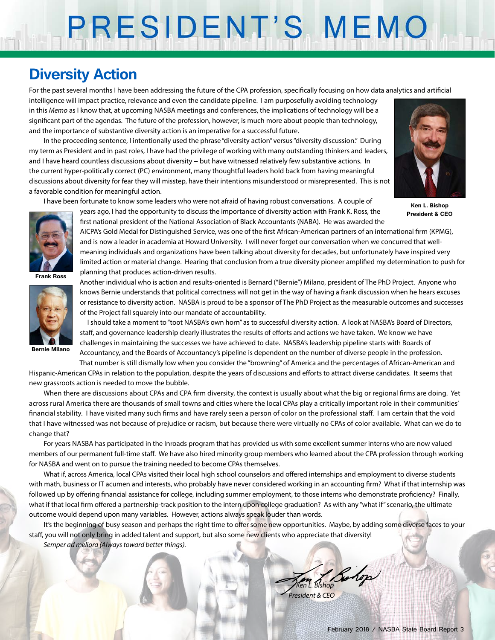# PRESIDENT'S MEMO

## **Diversity Action**

For the past several months I have been addressing the future of the CPA profession, specifically focusing on how data analytics and artificial

intelligence will impact practice, relevance and even the candidate pipeline. I am purposefully avoiding technology in this *Memo* as I know that, at upcoming NASBA meetings and conferences, the implications of technology will be a significant part of the agendas. The future of the profession, however, is much more about people than technology, and the importance of substantive diversity action is an imperative for a successful future.

In the proceeding sentence, I intentionally used the phrase "diversity action" versus "diversity discussion." During my term as President and in past roles, I have had the privilege of working with many outstanding thinkers and leaders, and I have heard countless discussions about diversity − but have witnessed relatively few substantive actions. In the current hyper-politically correct (PC) environment, many thoughtful leaders hold back from having meaningful discussions about diversity for fear they will misstep, have their intentions misunderstood or misrepresented. This is not a favorable condition for meaningful action.

I have been fortunate to know some leaders who were not afraid of having robust conversations. A couple of

years ago, I had the opportunity to discuss the importance of diversity action with Frank K. Ross, the first national president of the National Association of Black Accountants (NABA). He was awarded the



**Frank Ross**



**Bernie Milano**

and is now a leader in academia at Howard University. I will never forget our conversation when we concurred that wellmeaning individuals and organizations have been talking about diversity for decades, but unfortunately have inspired very limited action or material change. Hearing that conclusion from a true diversity pioneer amplified my determination to push for planning that produces action-driven results.

AICPA's Gold Medal for Distinguished Service, was one of the first African-American partners of an international firm (KPMG),

Another individual who is action and results-oriented is Bernard ("Bernie") Milano, president of The PhD Project. Anyone who knows Bernie understands that political correctness will not get in the way of having a frank discussion when he hears excuses or resistance to diversity action. NASBA is proud to be a sponsor of The PhD Project as the measurable outcomes and successes of the Project fall squarely into our mandate of accountability.

I should take a moment to "toot NASBA's own horn" as to successful diversity action. A look at NASBA's Board of Directors, staff, and governance leadership clearly illustrates the results of efforts and actions we have taken. We know we have challenges in maintaining the successes we have achieved to date. NASBA's leadership pipeline starts with Boards of Accountancy, and the Boards of Accountancy's pipeline is dependent on the number of diverse people in the profession.

That number is still dismally low when you consider the "browning" of America and the percentages of African-American and Hispanic-American CPAs in relation to the population, despite the years of discussions and efforts to attract diverse candidates. It seems that

new grassroots action is needed to move the bubble.

When there are discussions about CPAs and CPA firm diversity, the context is usually about what the big or regional firms are doing. Yet across rural America there are thousands of small towns and cities where the local CPAs play a critically important role in their communities' financial stability. I have visited many such firms and have rarely seen a person of color on the professional staff. I am certain that the void that I have witnessed was not because of prejudice or racism, but because there were virtually no CPAs of color available. What can we do to change that?

For years NASBA has participated in the Inroads program that has provided us with some excellent summer interns who are now valued members of our permanent full-time staff. We have also hired minority group members who learned about the CPA profession through working for NASBA and went on to pursue the training needed to become CPAs themselves.

What if, across America, local CPAs visited their local high school counselors and offered internships and employment to diverse students with math, business or IT acumen and interests, who probably have never considered working in an accounting firm? What if that internship was followed up by offering financial assistance for college, including summer employment, to those interns who demonstrate proficiency? Finally, what if that local firm offered a partnership-track position to the intern upon college graduation? As with any "what if" scenario, the ultimate outcome would depend upon many variables. However, actions always speak louder than words.

It's the beginning of busy season and perhaps the right time to offer some new opportunities. Maybe, by adding some diverse faces to your staff, you will not only bring in added talent and support, but also some new clients who appreciate that diversity! *Semper ad meliora (Always toward better things).*

> *— Ken L. Bishop President & CEO*

**Ken L. Bishop President & CEO**